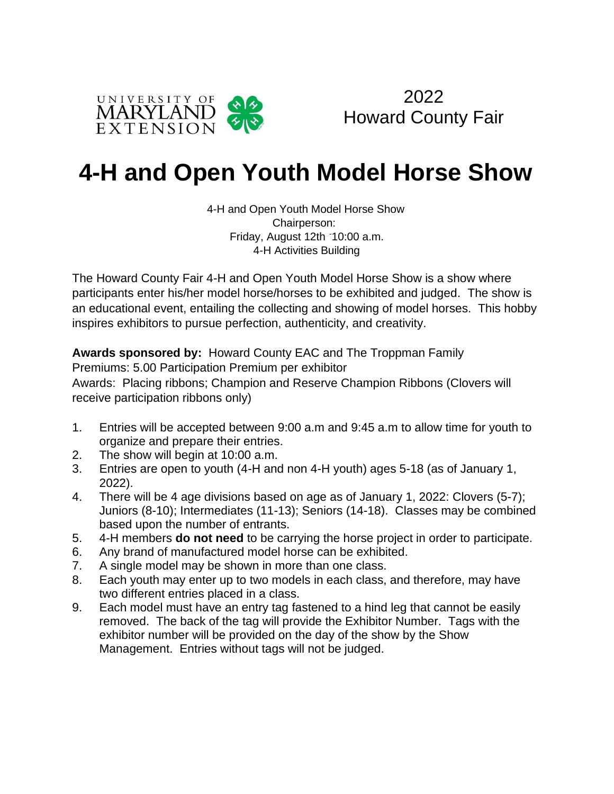



# **4-H and Open Youth Model Horse Show**

4-H and Open Youth Model Horse Show Chairperson: Friday, August 12th -10:00 a.m. 4-H Activities Building

The Howard County Fair 4-H and Open Youth Model Horse Show is a show where participants enter his/her model horse/horses to be exhibited and judged. The show is an educational event, entailing the collecting and showing of model horses. This hobby inspires exhibitors to pursue perfection, authenticity, and creativity.

**Awards sponsored by:** Howard County EAC and The Troppman Family

Premiums: 5.00 Participation Premium per exhibitor

Awards: Placing ribbons; Champion and Reserve Champion Ribbons (Clovers will receive participation ribbons only)

- 1. Entries will be accepted between 9:00 a.m and 9:45 a.m to allow time for youth to organize and prepare their entries.
- 2. The show will begin at 10:00 a.m.
- 3. Entries are open to youth (4-H and non 4-H youth) ages 5-18 (as of January 1, 2022).
- 4. There will be 4 age divisions based on age as of January 1, 2022: Clovers (5-7); Juniors (8-10); Intermediates (11-13); Seniors (14-18). Classes may be combined based upon the number of entrants.
- 5. 4-H members **do not need** to be carrying the horse project in order to participate.
- 6. Any brand of manufactured model horse can be exhibited.
- 7. A single model may be shown in more than one class.
- 8. Each youth may enter up to two models in each class, and therefore, may have two different entries placed in a class.
- 9. Each model must have an entry tag fastened to a hind leg that cannot be easily removed. The back of the tag will provide the Exhibitor Number. Tags with the exhibitor number will be provided on the day of the show by the Show Management. Entries without tags will not be judged.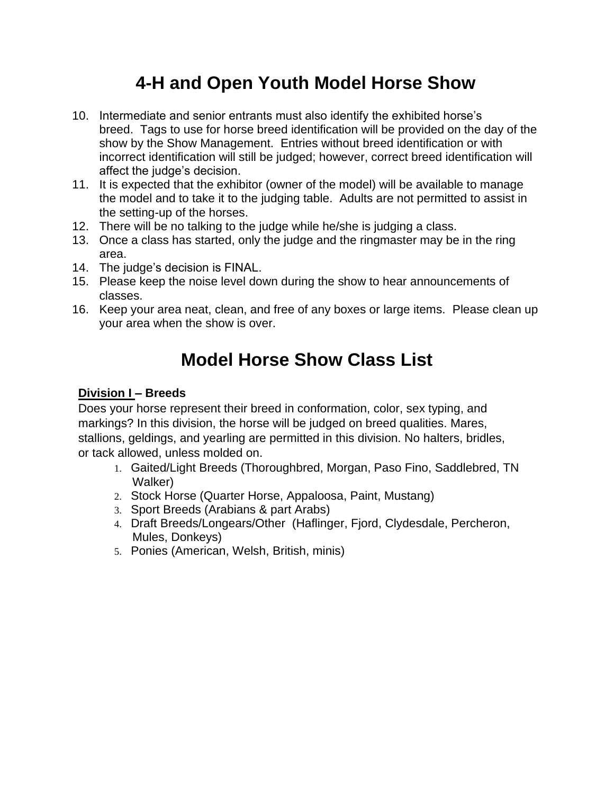### **4-H and Open Youth Model Horse Show**

- 10. Intermediate and senior entrants must also identify the exhibited horse's breed. Tags to use for horse breed identification will be provided on the day of the show by the Show Management. Entries without breed identification or with incorrect identification will still be judged; however, correct breed identification will affect the judge's decision.
- 11. It is expected that the exhibitor (owner of the model) will be available to manage the model and to take it to the judging table. Adults are not permitted to assist in the setting-up of the horses.
- 12. There will be no talking to the judge while he/she is judging a class.
- 13. Once a class has started, only the judge and the ringmaster may be in the ring area.
- 14. The judge's decision is FINAL.
- 15. Please keep the noise level down during the show to hear announcements of classes.
- 16. Keep your area neat, clean, and free of any boxes or large items. Please clean up your area when the show is over.

## **Model Horse Show Class List**

### **Division I – Breeds**

Does your horse represent their breed in conformation, color, sex typing, and markings? In this division, the horse will be judged on breed qualities. Mares, stallions, geldings, and yearling are permitted in this division. No halters, bridles, or tack allowed, unless molded on.

- 1. Gaited/Light Breeds (Thoroughbred, Morgan, Paso Fino, Saddlebred, TN Walker)
- 2. Stock Horse (Quarter Horse, Appaloosa, Paint, Mustang)
- 3. Sport Breeds (Arabians & part Arabs)
- 4. Draft Breeds/Longears/Other (Haflinger, Fjord, Clydesdale, Percheron, Mules, Donkeys)
- 5. Ponies (American, Welsh, British, minis)